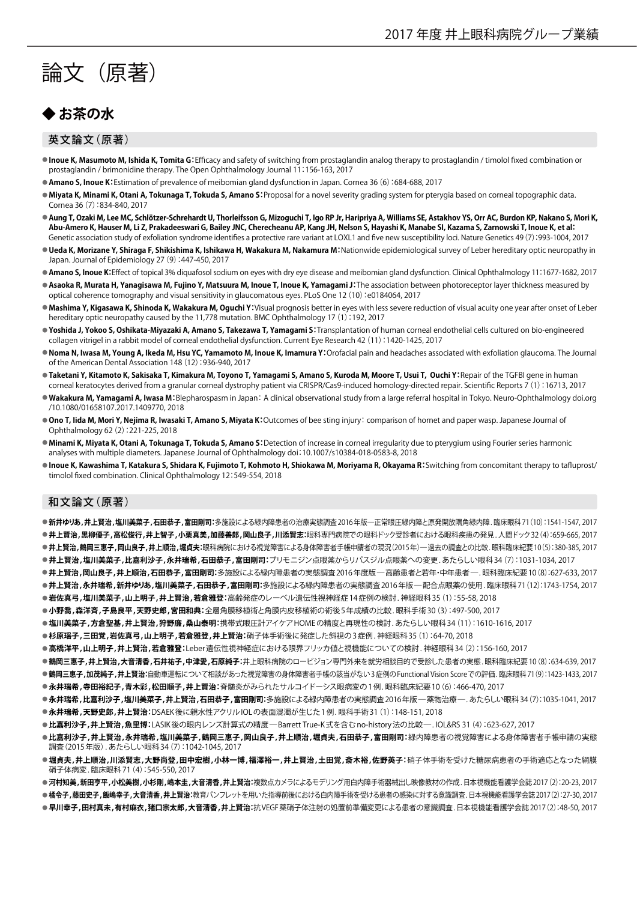# 論文(原著)

## **◆ お茶の水**

#### 英文論文(原著)

- **Inoue K. Masumoto M, Ishida K, Tomita G:**Efficacy and safety of switching from prostaglandin analog therapy to prostaglandin / timolol fixed combination or prostaglandin / brimonidine therapy. The Open Ophthalmology Journal 11:156-163, 2017
- **Amano S, Inoue K:**Estimation of prevalence of meibomian gland dysfunction in Japan. Cornea 36(6):684-688, 2017
- Miyata K, Minami K, Otani A, Tokunaga T, Tokuda S, Amano S: Proposal for a novel severity grading system for pterygia based on corneal topographic data. Cornea 36(7):834-840, 2017
- · Aung T, Ozaki M, Lee MC, Schlötzer-Schrehardt U, Thorleifsson G, Mizoguchi T, Igo RP Jr, Haripriya A, Williams SE, Astakhov YS, Orr AC, Burdon KP, Nakano S, Mori K, Abu-Amero K, Hauser M, Li Z, Prakadeeswari G, Bailey JNC, Cherecheanu AP, Kang JH, Nelson S, Hayashi K, Manabe SI, Kazama S, Zarnowski T, Inoue K, et al: Genetic association study of exfoliation syndrome identifies a protective rare variant at LOXL1 and five new susceptibility loci. Nature Genetics 49(7):993-1004, 2017
- **Ueda K, Morizane Y, Shiraga F, Shikishima K, Ishikawa H, Wakakura M, Nakamura M:**Nationwide epidemiological survey of Leber hereditary optic neuropathy in Japan. Journal of Epidemiology 27(9):447-450, 2017
- **Amano S, Inoue K:**Effect of topical 3% diquafosol sodium on eyes with dry eye disease and meibomian gland dysfunction. Clinical Ophthalmology 11:1677-1682, 2017
- Asaoka R, Murata H, Yanagisawa M, Fujino Y, Matsuura M, Inoue T, Inoue K, Yamagami J:The association between photoreceptor layer thickness measured by optical coherence tomography and visual sensitivity in glaucomatous eyes. PLoS One 12(10):e0184064, 2017
- **Mashima Y, Kigasawa K, Shinoda K, Wakakura M, Oguchi Y:**Visual prognosis better in eyes with less severe reduction of visual acuity one year after onset of Leber hereditary optic neuropathy caused by the 11,778 mutation. BMC Ophthalmology 17(1):192, 2017
- **Yoshida J, Yokoo S, Oshikata-Miyazaki A, Amano S, Takezawa T, Yamagami S:**Transplantation of human corneal endothelial cells cultured on bio-engineered collagen vitrigel in a rabbit model of corneal endothelial dysfunction. Current Eye Research 42(11):1420-1425, 2017
- **Noma N, Iwasa M, Young A, Ikeda M, Hsu YC, Yamamoto M, Inoue K, Imamura Y:**Orofacial pain and headaches associated with exfoliation glaucoma. The Journal of the American Dental Association 148(12):936-940, 2017
- **Taketani Y, Kitamoto K, Sakisaka T, Kimakura M, Toyono T, Yamagami S, Amano S, Kuroda M, Moore T, Usui T, Ouchi Y:**Repair of the TGFBI gene in human corneal keratocytes derived from a granular corneal dystrophy patient via CRISPR/Cas9-induced homology-directed repair. Scientific Reports 7(1):16713, 2017
- **Wakakura M, Yamagami A, Iwasa M:**Blepharospasm in Japan:A clinical observational study from a large referral hospital in Tokyo. Neuro-Ophthalmology doi.org /10.1080/01658107.2017.1409770, 2018
- Ono T, lida M, Mori Y, Nejima R, Iwasaki T, Amano S, Miyata K: Outcomes of bee sting injury: comparison of hornet and paper wasp. Japanese Journal of Ophthalmology 62(2):221-225, 2018
- Minami K, Miyata K, Otani A, Tokunaga T, Tokuda S, Amano S:Detection of increase in corneal irregularity due to pterygium using Fourier series harmonic analyses with multiple diameters. Japanese Journal of Ophthalmology do:i 10.1007/s10384-018-0583-8, 2018
- **Inoue K, Kawashima T, Katakura S, Shidara K, Fujimoto T, Kohmoto H, Shiokawa M, Moriyama R, Okayama R:**Switching from concomitant therapy to tafluprost/ timolol fixed combination. Clinical Ophthalmology 12:549-554, 2018

#### 和文論文(原著)

- **新井ゆりあ,井上賢治,塩川美菜子,石田恭子,富田剛司:**多施設による緑内障患者の治療実態調査2016年版―正常眼圧緑内障と原発開放隅角緑内障.臨床眼科71(10):1541-1547, 2017
- **井上賢治,黒柳優子,高松俊行,井上智子,小栗真美,加藤善郎,岡山良子,川添賢志:**眼科専門病院での眼科ドック受診者における眼科疾患の発見. 人間ドック32(4):659-665, 2017 ● 井上賢治,鶴岡三惠子,岡山良子,井上順治,堀貞夫:眼科病院における視覚障害による身体障害者手帳申請者の現況(2015年)―過去の調査との比較. 眼科臨床紀要10(5):380-385, 2017 ●**井上賢治,塩川美菜子,比嘉利沙子,永井瑞希,石田恭子,富田剛司:**ブリモニジン点眼薬からリパスジル点眼薬への変更.あたらしい眼科34(7):1031-1034,2017
- 
- ●**井上賢治,岡山良子,井上順治,石田恭子,富田剛司:**多施設による緑内障患者の実態調査2016年度版―高齢患者と若年・中年患者―.眼科臨床紀要10(8):627-633, 2017 ●**井上賢治,永井瑞希,新井ゆりあ,塩川美菜子,石田恭子,富田剛司:**多施設による緑内障患者の実態調査2016年版―配合点眼薬の使用. 臨床眼科71(12):1743-1754, 2017
- **岩佐真弓,塩川美菜子,山上明子,井上賢治,若倉雅登:**高齢発症のレーベル遺伝性視神経症14症例の検討. 神経眼科35 (1):55-58, 2018
- **小野喬,森洋斉,子島良平,天野史郎,宮田和典:**全層角膜移植術と角膜内皮移植術の術後5年成績の比較. 眼科手術30 (3):497-500, 2017
- **塩川美菜子,方倉聖基,井上賢治,狩野廉,桑山泰明:**携帯式眼圧計アイケアHOMEの精度と再現性の検討. あたらしい眼科34 (11):1610-1616, 2017
- 杉原瑶子,三田覚,岩佐真弓,山上明子,若倉雅登,井上賢治:硝子体手術後に発症した斜視の3症例. 神経眼科35 (1):64-70, 2018
- **●高橋洋平,山上明子,井上賢治,若倉雅登:Leber遺伝性視神経症における限界フリッカ値と視機能についての検討. 神経眼科34(2):156-160, 2017**
- ●鶴岡三惠子,井上賢治,大音清香,石井祐子,中津愛,石原純子:井上眼科病院のロービジョン専門外来を就労相談目的で受診した患者の実態. 眼科臨床紀要10(8):634-639, 2017
- ●鶴岡**三惠子,加茂純子,井上賢治:**自動車運転について相談があった視覚障害の身体障害者手帳の該当がない3症例のFunctional Vision Scoreでの評価.臨床眼科71(9):1423-1433, 2017
- **●永井瑞希,寺田裕紀子,青木彩,松田順子,井上賢治:**脊髄炎がみられたサルコイドーシス眼病変の1例. 眼科臨床紀要10 (6):466-470, 2017
- 永井瑞希,比嘉利沙子,塩川美菜子,井上賢治,石田恭子,富田剛司:多施設による緑内障患者の実態調査2016年版―薬物治療―.あたらしい眼科34(7):1035-1041,2017 **● 永井瑞希,天野史郎,井上賢治:**DSAEK後に親水性アクリルIOLの表面混濁が生じた1例. 眼科手術31 (1):148-151, 2018
- 
- **比嘉利沙子,井上賢治,魚里博:**LASIK後の眼内レンズ計算式の精度―Barrett True-K式を含むno-history法の比較―. IOL&RS 31 (4):623-627, 2017
- **比嘉利沙子,井上賢治,永井瑞希,塩川美菜子,鶴岡三惠子,岡山良子,井上順治,堀貞夫,石田恭子,富田剛司:**緑内障患者の視覚障害による身体障害者手帳申請の実態 調査(2015年版). あたらしい眼科34(7):1042-1045, 2017
- **●堀貞夫,井上順治,川添賢志,大野尚登,田中宏樹,小林一博,福澤裕一,井上賢治,土田覚,斎木裕,佐野英子:**硝子体手術を受けた糖尿病患者の手術適応となった網膜 硝子体病変. 臨床眼科71(4):545-550, 2017
- 河村知美,新田亨平,小松美樹,小杉剛,嶋本圭,大音清香,井上賢治:複数点カメラによるモデリング用白内障手術器械出し映像教材の作成.日本視機能看護学会誌2017(2):20-23, 2017
- 橘令子,藤田史子,飯嶋幸子,大音清香,井上賢治:教育パンフレットを用いた指導前後における白内障手術を受ける患者の感染に対する意識調査.日本視機能看護学会誌2017(2):27-30, 2017
- **早川幸子,田村真未,有村麻衣,猪口宗太郎,大音清香,井上賢治:**抗VEGF薬硝子体注射の処置前準備変更による患者の意識調査.日本視機能看護学会誌2017(2):48-50, 2017